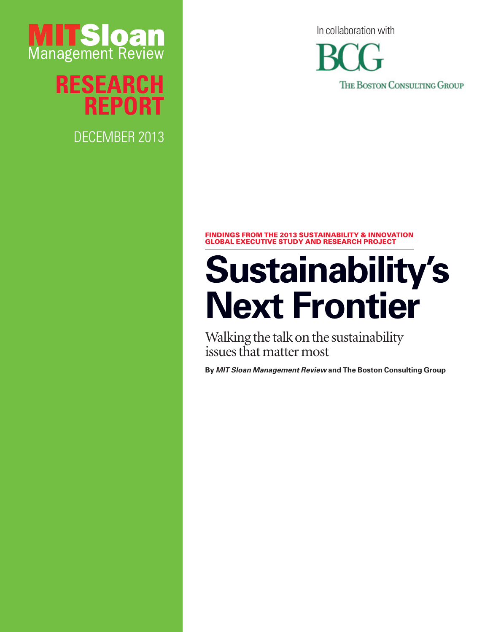

**Research Report**

DECEMBER 2013

In collaboration with

THE BOSTON CONSULTING GROUP

#### Findings from the 2013 Sustainability & Innovation Global Executive Study and Research Project

## **Sustainability's Next Frontier**

Walking the talk on the sustainability issues that matter most

**By** *MIT Sloan Management Review* **and The Boston Consulting Group**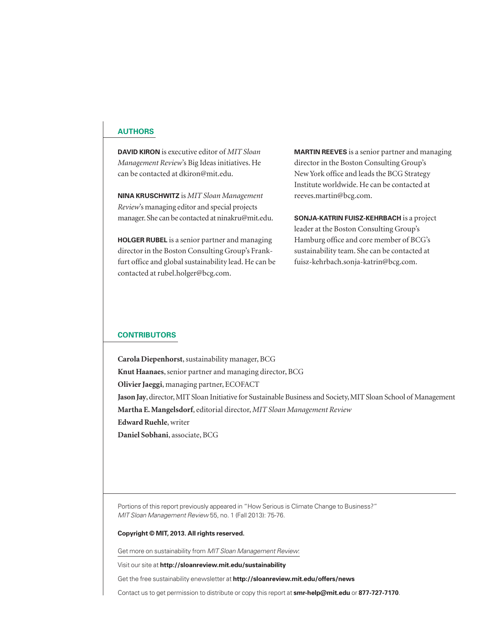#### **Authors**

**David Kiron** is executive editor of *MIT Sloan Management Review*'s Big Ideas initiatives. He can be contacted at dkiron@mit.edu.

**Nina Kruschwitz** is *MIT Sloan Management Review*'s managing editor and special projects manager. She can be contacted at ninakru@mit.edu.

**Holger Rubel** is a senior partner and managing director in the Boston Consulting Group's Frankfurt office and global sustainability lead. He can be contacted at rubel.holger@bcg.com.

**Martin Reeves** is a senior partner and managing director in the Boston Consulting Group's New York office and leads the BCG Strategy Institute worldwide. He can be contacted at reeves.martin@bcg.com.

**Sonja-Katrin Fuisz-Kehrbach** is a project leader at the Boston Consulting Group's Hamburg office and core member of BCG's sustainability team. She can be contacted at fuisz-kehrbach.sonja-katrin@bcg.com.

#### **Contributors**

**Carola Diepenhorst**, sustainability manager, BCG **Knut Haanaes**, senior partner and managing director, BCG **Olivier Jaeggi**, managing partner, ECOFACT **Jason Jay**, director, MIT Sloan Initiative for Sustainable Business and Society, MIT Sloan School of Management **Martha E. Mangelsdorf**, editorial director, *MIT Sloan Management Review* **Edward Ruehle**, writer **Daniel Sobhani**, associate, BCG

Portions of this report previously appeared in "How Serious is Climate Change to Business?" *MIT Sloan Management Review* 55, no. 1 (Fall 2013): 75-76.

#### **Copyright © MIT, 2013. All rights reserved.**

Get more on sustainability from *MIT Sloan Management Review*:

Visit our site at **http://sloanreview.mit.edu/sustainability**

Get the free sustainability enewsletter at **http://sloanreview.mit.edu/offers/news**

Contact us to get permission to distribute or copy this report at **smr-help@mit.edu** or **877-727-7170**.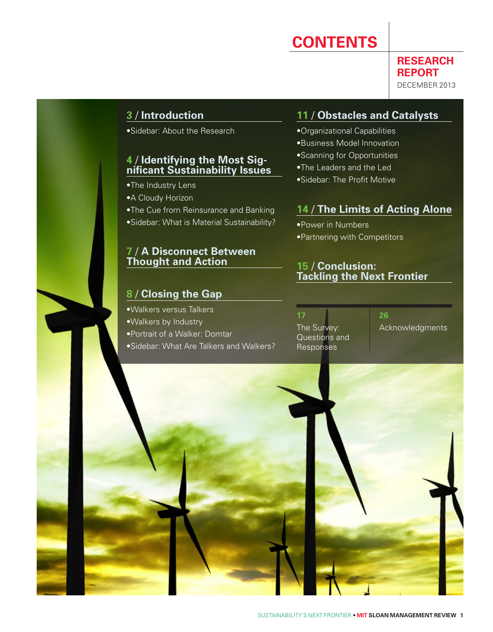## **Contents**

**RESEARCH REPORT** December 2013

#### **3** / **Introduction**

•Sidebar: About the Research

## **<sup>4</sup>** / **Identifying the Most Sig- nificant Sustainability Issues**

- •The Industry Lens
- •A Cloudy Horizon
- •The Cue from Reinsurance and Banking

•Sidebar: What is Material Sustainability?

#### **7** / **A Disconnect Between Thought and Action**

#### **8** / **Closing the Gap**

•Walkers versus Talkers •Walkers by Industry •Portrait of a Walker: Domtar •Sidebar: What Are Talkers and Walkers?

#### **11** / **Obstacles and Catalysts**

- •Organizational Capabilities
- •Business Model Innovation
- •Scanning for Opportunities
- •The Leaders and the Led
- •Sidebar: The Profit Motive

#### **14** / **The Limits of Acting Alone**

•Power in Numbers •Partnering with Competitors

#### **15** / **Conclusion: Tackling the Next Frontier**

**17** The Survey: Questions and Responses

**26** Acknowledgments

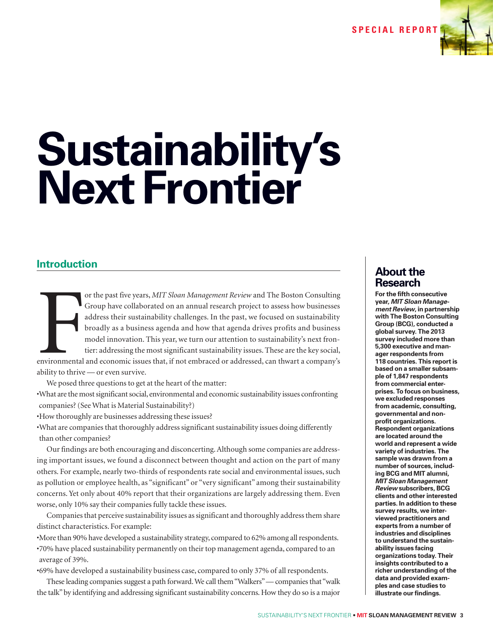**S pecial Repo r t**



# **Sustainability's Next Frontier**

#### **Introduction**

**FIRM**<br>environmental<br>ability to thrive or the past five years, *MIT Sloan Management Review* and The Boston Consulting Group have collaborated on an annual research project to assess how businesses address their sustainability challenges. In the past, we focused on sustainability broadly as a business agenda and how that agenda drives profits and business model innovation. This year, we turn our attention to sustainability's next frontier: addressing the most significant sustainability issues. These are the key social, environmental and economic issues that, if not embraced or addressed, can thwart a company's ability to thrive — or even survive.

We posed three questions to get at the heart of the matter:

•What are the most significant social, environmental and economic sustainability issues confronting companies? (See What is Material Sustainability?)

•How thoroughly are businesses addressing these issues?

•What are companies that thoroughly address significant sustainability issues doing differently than other companies?

Our findings are both encouraging and disconcerting. Although some companies are addressing important issues, we found a disconnect between thought and action on the part of many others. For example, nearly two-thirds of respondents rate social and environmental issues, such as pollution or employee health, as "significant" or "very significant" among their sustainability concerns. Yet only about 40% report that their organizations are largely addressing them. Even worse, only 10% say their companies fully tackle these issues.

Companies that perceive sustainability issues as significant and thoroughly address them share distinct characteristics. For example:

•More than 90% have developed a sustainability strategy, compared to 62% among all respondents. •70% have placed sustainability permanently on their top management agenda, compared to an average of 39%.

•69% have developed a sustainability business case, compared to only 37% of all respondents.

These leading companies suggest a path forward. We call them "Walkers" — companies that "walk the talk" by identifying and addressing significant sustainability concerns. How they do so is a major

#### **About the Research**

**For the fifth consecutive year,** *MIT Sloan Management Review***, in partnership with The Boston Consulting Group (BCG), conducted a global survey. The 2013 survey included more than 5,300 executive and manager respondents from 118 countries. This report is based on a smaller subsample of 1,847 respondents from commercial enterprises. To focus on business, we excluded responses from academic, consulting, governmental and nonprofit organizations. Respondent organizations are located around the world and represent a wide variety of industries. The sample was drawn from a number of sources, including BCG and MIT alumni,**  *MIT Sloan Management Review* **subscribers, BCG clients and other interested parties. In addition to these survey results, we interviewed practitioners and experts from a number of industries and disciplines to understand the sustainability issues facing organizations today. Their insights contributed to a richer understanding of the data and provided examples and case studies to illustrate our findings.**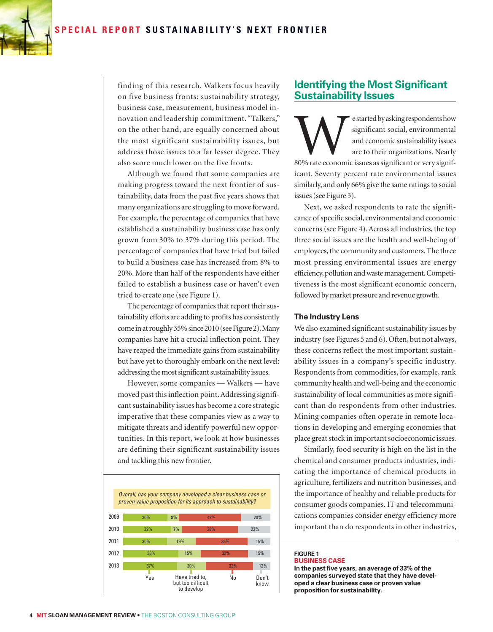

finding of this research. Walkers focus heavily on five business fronts: sustainability strategy, business case, measurement, business model innovation and leadership commitment. "Talkers," on the other hand, are equally concerned about the most significant sustainability issues, but address those issues to a far lesser degree. They also score much lower on the five fronts.

Although we found that some companies are making progress toward the next frontier of sustainability, data from the past five years shows that many organizations are struggling to move forward. For example, the percentage of companies that have established a sustainability business case has only grown from 30% to 37% during this period. The percentage of companies that have tried but failed to build a business case has increased from 8% to 20%. More than half of the respondents have either failed to establish a business case or haven't even tried to create one (see Figure 1).

The percentage of companies that report their sustainability efforts are adding to profits has consistently come in at roughly 35% since 2010 (see Figure 2). Many companies have hit a crucial inflection point. They have reaped the immediate gains from sustainability but have yet to thoroughly embark on the next level: addressing the most significant sustainability issues.

However, some companies — Walkers — have moved past this inflection point. Addressing significant sustainability issues has become a core strategic imperative that these companies view as a way to mitigate threats and identify powerful new opportunities. In this report, we look at how businesses are defining their significant sustainability issues and tackling this new frontier.



#### **Identifying the Most Significant Sustainability Issues**

Extarted by asking respondents how significant social, environmental and economic sustainability issues are to their organizations. Nearly 80% rate economic issues as significant or very significant significant social, environmental and economic sustainability issues are to their organizations. Nearly icant. Seventy percent rate environmental issues similarly, and only 66% give the same ratings to social issues (see Figure 3).

Next, we asked respondents to rate the significance of specific social, environmental and economic concerns (see Figure 4). Across all industries, the top three social issues are the health and well-being of employees, the community and customers. The three most pressing environmental issues are energy efficiency, pollution and waste management. Competitiveness is the most significant economic concern, followed by market pressure and revenue growth.

#### **The Industry Lens**

We also examined significant sustainability issues by industry (see Figures 5 and 6). Often, but not always, these concerns reflect the most important sustainability issues in a company's specific industry. Respondents from commodities, for example, rank community health and well-being and the economic sustainability of local communities as more significant than do respondents from other industries. Mining companies often operate in remote locations in developing and emerging economies that place great stock in important socioeconomic issues.

Similarly, food security is high on the list in the chemical and consumer products industries, indicating the importance of chemical products in agriculture, fertilizers and nutrition businesses, and the importance of healthy and reliable products for consumer goods companies. IT and telecommunications companies consider energy efficiency more important than do respondents in other industries,

#### **Figure 1 Business Case**

**In the past five years, an average of 33% of the companies surveyed state that they have developed a clear business case or proven value proposition for sustainability.**

01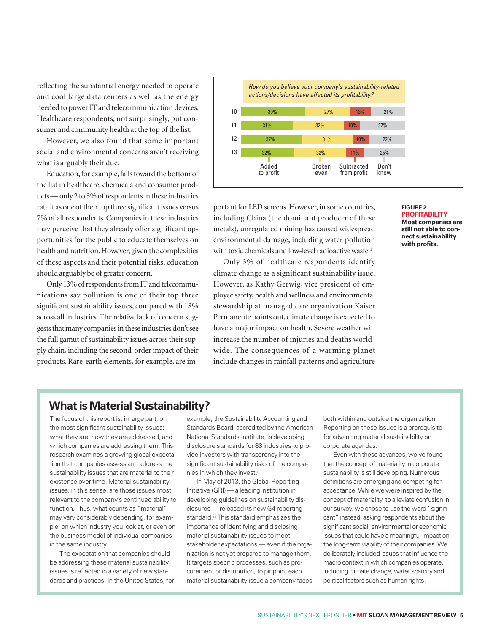reflecting the substantial energy needed to operate and cool large data centers as well as the energy needed to power IT and telecommunication devices. Healthcare respondents, not surprisingly, put consumer and community health at the top of the list.

However, we also found that some important social and environmental concerns aren't receiving what is arguably their due.

Education, for example, falls toward the bottom of the list in healthcare, chemicals and consumer products — only 2 to 3% of respondents in these industries rate it as one of their top three significant issues versus 7% of all respondents. Companies in these industries may perceive that they already offer significant opportunities for the public to educate themselves on health and nutrition. However, given the complexities of these aspects and their potential risks, education should arguably be of greater concern.

Only 13% of respondents from IT and telecommunications say pollution is one of their top three significant sustainability issues, compared with 18% across all industries. The relative lack of concern suggests that many companies in these industries don't see the full gamut of sustainability issues across their supply chain, including the second-order impact of their products. Rare-earth elements, for example, are im-



portant for LED screens. However, in some countries, including China (the dominant producer of these metals), unregulated mining has caused widespread environmental damage, including water pollution with toxic chemicals and low-level radioactive waste.<sup>1</sup>

Only 3% of healthcare respondents identify climate change as a significant sustainability issue. However, as Kathy Gerwig, vice president of employee safety, health and wellness and environmental stewardship at managed care organization Kaiser Permanente points out, climate change is expected to have a major impact on health. Severe weather will increase the number of injuries and deaths worldwide. The consequences of a warming planet include changes in rainfall patterns and agriculture

#### **Figure 2 Profitability Most companies are still not able to connect sustainability with profits.**

#### **What is Material Sustainability?**

The focus of this report is, in large part, on the most significant sustainability issues: what they are, how they are addressed, and which companies are addressing them. This research examines a growing global expectation that companies assess and address the sustainability issues that are material to their existence over time. Material sustainability issues, in this sense, are those issues most relevant to the company's continued ability to function. Thus, what counts as "material" may vary considerably depending, for example, on which industry you look at, or even on the business model of individual companies in the same industry.

The expectation that companies should be addressing these material sustainability issues is reflected in a variety of new standards and practices. In the United States, for

example, the Sustainability Accounting and Standards Board, accredited by the American National Standards Institute, is developing disclosure standards for 88 industries to provide investors with transparency into the significant sustainability risks of the companies in which they invest.i

In May of 2013, the Global Reporting Initiative (GRI) — a leading institution in developing guidelines on sustainability disclosures — released its new G4 reporting standard.<sup>ii</sup> This standard emphasizes the importance of identifying and disclosing material sustainability issues to meet stakeholder expectations — even if the organization is not yet prepared to manage them. It targets specific processes, such as procurement or distribution, to pinpoint each material sustainability issue a company faces

both within and outside the organization. Reporting on these issues is a prerequisite for advancing material sustainability on corporate agendas.

Even with these advances, we've found that the concept of materiality in corporate sustainability is still developing. Numerous definitions are emerging and competing for acceptance. While we were inspired by the concept of materiality, to alleviate confusion in our survey, we chose to use the word "significant" instead, asking respondents about the significant social, environmental or economic issues that could have a meaningful impact on the long-term viability of their companies. We deliberately included issues that influence the macro context in which companies operate, including climate change, water scarcity and political factors such as human rights.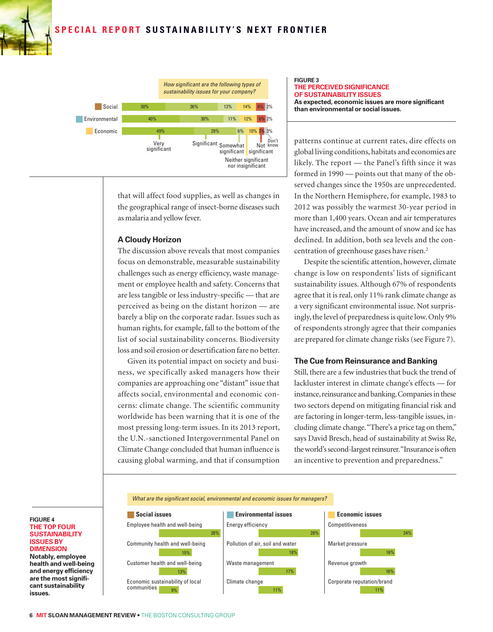#### **SPECIAL REPORT SUSTAINABILITY'S NEXT FRONTIER**



that will affect food supplies, as well as changes in the geographical range of insect-borne diseases such as malaria and yellow fever.

#### **A Cloudy Horizon**

The discussion above reveals that most companies focus on demonstrable, measurable sustainability challenges such as energy efficiency, waste management or employee health and safety. Concerns that are less tangible or less industry-specific — that are perceived as being on the distant horizon — are barely a blip on the corporate radar. Issues such as human rights, for example, fall to the bottom of the list of social sustainability concerns. Biodiversity loss and soil erosion or desertification fare no better.

Given its potential impact on society and business, we specifically asked managers how their companies are approaching one "distant" issue that affects social, environmental and economic concerns: climate change. The scientific community worldwide has been warning that it is one of the most pressing long-term issues. In its 2013 report, the U.N.-sanctioned Intergovernmental Panel on Climate Change concluded that human influence is causing global warming, and that if consumption

#### **Figure 3 The perceived significance OF SUSTAINABILITY ISSUES As expected, economic issues are more significant than environmental or social issues.**

patterns continue at current rates, dire effects on global living conditions, habitats and economies are likely. The report — the Panel's fifth since it was formed in 1990 — points out that many of the observed changes since the 1950s are unprecedented. In the Northern Hemisphere, for example, 1983 to 2012 was possibly the warmest 30-year period in more than 1,400 years. Ocean and air temperatures have increased, and the amount of snow and ice has declined. In addition, both sea levels and the concentration of greenhouse gases have risen.<sup>2</sup>

Despite the scientific attention, however, climate change is low on respondents' lists of significant sustainability issues. Although 67% of respondents agree that it is real, only 11% rank climate change as a very significant environmental issue. Not surprisingly, the level of preparedness is quite low. Only 9% of respondents strongly agree that their companies are prepared for climate change risks (see Figure 7).

#### **The Cue from Reinsurance and Banking**

Still, there are a few industries that buck the trend of lackluster interest in climate change's effects — for instance, reinsurance and banking. Companies in these two sectors depend on mitigating financial risk and are factoring in longer-term, less-tangible issues, including climate change. "There's a price tag on them," says David Bresch, head of sustainability at Swiss Re, the world's second-largest reinsurer. "Insurance is often an incentive to prevention and preparedness."



#### **Figure 4 The top four susTAINABILITY issues by dimension Notably, employee health and well-being and energy efficiency are the most significant sustainability issues.**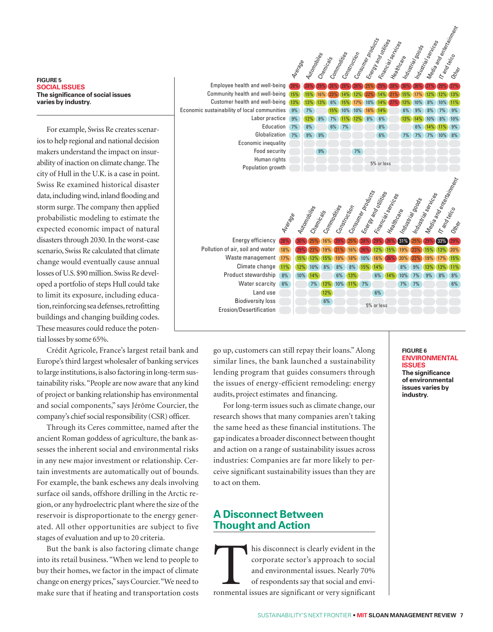#### **Figure 5 Social Issues The significance of social issues varies by industry.**

For example, Swiss Re creates scenarios to help regional and national decision makers understand the impact on insurability of inaction on climate change. The city of Hull in the U.K. is a case in point. Swiss Re examined historical disaster data, including wind, inland flooding and storm surge. The company then applied probabilistic modeling to estimate the expected economic impact of natural disasters through 2030. In the worst-case scenario, Swiss Re calculated that climate change would eventually cause annual losses of U.S. \$90 million. Swiss Re developed a portfolio of steps Hull could take to limit its exposure, including education, reinforcing sea defenses, retrofitting buildings and changing building codes. These measures could reduce the potential losses by some 65%.

Crédit Agricole, France's largest retail bank and Europe's third largest wholesaler of banking services to large institutions, is also factoring in long-term sustainability risks. "People are now aware that any kind of project or banking relationship has environmental and social components," says Jérôme Courcier, the company's chief social responsibility (CSR) officer.

Through its Ceres committee, named after the ancient Roman goddess of agriculture, the bank assesses the inherent social and environmental risks in any new major investment or relationship. Certain investments are automatically out of bounds. For example, the bank eschews any deals involving surface oil sands, offshore drilling in the Arctic region, or any hydroelectric plant where the size of the reservoir is disproportionate to the energy generated. All other opportunities are subject to five stages of evaluation and up to 20 criteria.

But the bank is also factoring climate change into its retail business. "When we lend to people to buy their homes, we factor in the impact of climate change on energy prices," says Courcier. "We need to make sure that if heating and transportation costs



go up, customers can still repay their loans." Along similar lines, the bank launched a sustainability lending program that guides consumers through the issues of energy-efficient remodeling: energy audits, project estimates and financing.

For long-term issues such as climate change, our research shows that many companies aren't taking the same heed as these financial institutions. The gap indicates a broader disconnect between thought and action on a range of sustainability issues across industries: Companies are far more likely to perceive significant sustainability issues than they are to act on them.

#### **A Disconnect Between Thought and Action**

his disconnect is clearly evident in the corporate sector's approach to social and environmental issues. Nearly 70% of respondents say that social and environmental issues are significant or very significant corporate sector's approach to social and environmental issues. Nearly 70% of respondents say that social and envi-

#### **Figure 6 Environmental Issues The significance of environmental issues varies by industry.**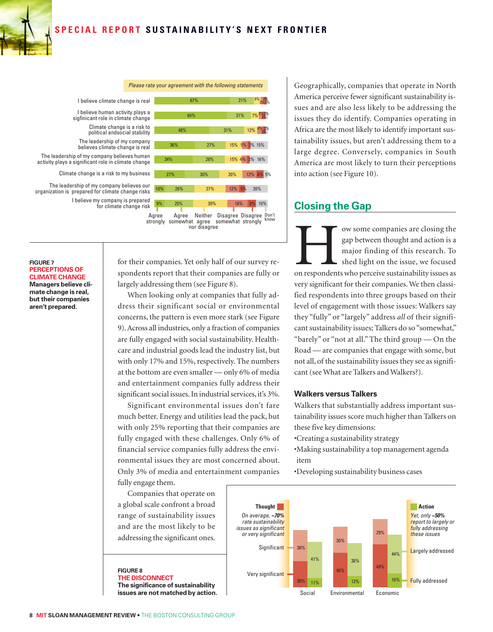

*Please rate your agreement with the following statements*



I believe climate change is real

I believe human activity plays a sigfinicant role in climate change

Climate change is a risk to political andsocial stability

The leadership of my company believes climate change is real

The leadership of my company believes human activity plays a significant role in climate change

Climate change is a risk to my business

I believe my company is prepared for climate change risk The leadership of my company believes our organization is prepared for climate change risks

#### **Figure 7 Perceptions of CLIMATE CHANGE Managers believe cli-**

**mate change is real, but their companies aren't prepared.**

for their companies. Yet only half of our survey respondents report that their companies are fully or largely addressing them (see Figure 8).

nor disagree

When looking only at companies that fully address their significant social or environmental concerns, the pattern is even more stark (see Figure 9). Across all industries, only a fraction of companies are fully engaged with social sustainability. Healthcare and industrial goods lead the industry list, but with only 17% and 15%, respectively. The numbers at the bottom are even smaller — only 6% of media and entertainment companies fully address their significant social issues. In industrial services, it's 3%.

Significant environmental issues don't fare much better. Energy and utilities lead the pack, but with only 25% reporting that their companies are fully engaged with these challenges. Only 6% of financial service companies fully address the environmental issues they are most concerned about. Only 3% of media and entertainment companies fully engage them.

Companies that operate on a global scale confront a broad range of sustainability issues and are the most likely to be addressing the significant ones.

**Figure 8 The disconnect The significance of sustainability issues are not matched by action.** Geographically, companies that operate in North America perceive fewer significant sustainability issues and are also less likely to be addressing the issues they do identify. Companies operating in Africa are the most likely to identify important sustainability issues, but aren't addressing them to a large degree. Conversely, companies in South America are most likely to turn their perceptions into action (see Figure 10).

#### **Closing the Gap**

ow some companies are closing the gap between thought and action is a major finding of this research. To shed light on the issue, we focused on respondents who perceive sustainability issues as gap between thought and action is a major finding of this research. To shed light on the issue, we focused very significant for their companies. We then classified respondents into three groups based on their level of engagement with those issues: Walkers say they "fully" or "largely" address *all* of their significant sustainability issues; Talkers do so "somewhat," "barely" or "not at all." The third group — On the Road — are companies that engage with some, but not all, of the sustainability issues they see as significant (see What are Talkers and Walkers?).

#### **Walkers versus Talkers**

Walkers that substantially address important sustainability issues score much higher than Talkers on these five key dimensions:

- •Creating a sustainability strategy
- •Making sustainability a top management agenda item
- •Developing sustainability business cases

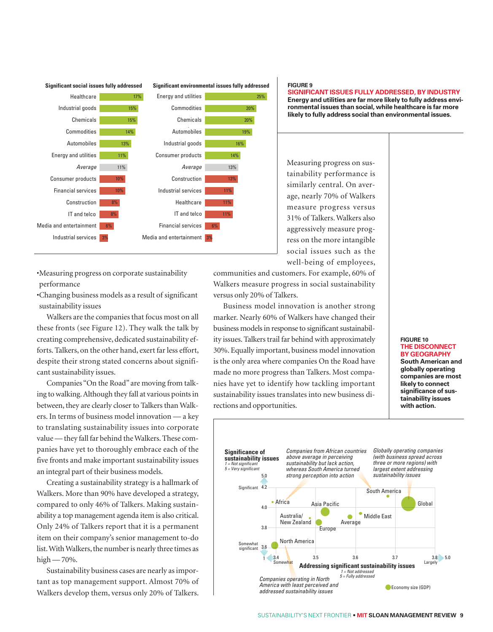

•Measuring progress on corporate sustainability performance

•Changing business models as a result of significant sustainability issues

Walkers are the companies that focus most on all these fronts (see Figure 12). They walk the talk by creating comprehensive, dedicated sustainability efforts. Talkers, on the other hand, exert far less effort, despite their strong stated concerns about significant sustainability issues.

Companies "On the Road" are moving from talking to walking. Although they fall at various points in between, they are clearly closer to Talkers than Walkers. In terms of business model innovation — a key to translating sustainability issues into corporate value — they fall far behind the Walkers. These companies have yet to thoroughly embrace each of the five fronts and make important sustainability issues an integral part of their business models.

Creating a sustainability strategy is a hallmark of Walkers. More than 90% have developed a strategy, compared to only 46% of Talkers. Making sustainability a top management agenda item is also critical. Only 24% of Talkers report that it is a permanent item on their company's senior management to-do list. With Walkers, the number is nearly three times as high  $-70%$ .

Sustainability business cases are nearly as important as top management support. Almost 70% of Walkers develop them, versus only 20% of Talkers.

#### **Figure 9**

**Significant issues fully addressed, by industry Energy and utilities are far more likely to fully address environmental issues than social, while healthcare is far more likely to fully address social than environmental issues.** 

Measuring progress on sustainability performance is similarly central. On average, nearly 70% of Walkers measure progress versus 31% of Talkers. Walkers also aggressively measure progress on the more intangible social issues such as the well-being of employees,

communities and customers. For example, 60% of Walkers measure progress in social sustainability versus only 20% of Talkers.

Business model innovation is another strong marker. Nearly 60% of Walkers have changed their business models in response to significant sustainability issues. Talkers trail far behind with approximately 30%. Equally important, business model innovation is the only area where companies On the Road have made no more progress than Talkers. Most companies have yet to identify how tackling important sustainability issues translates into new business directions and opportunities.

#### **Figure 10 The disconnect by geography South American and globally operating companies are most likely to connect significance of sustainability issues with action.**

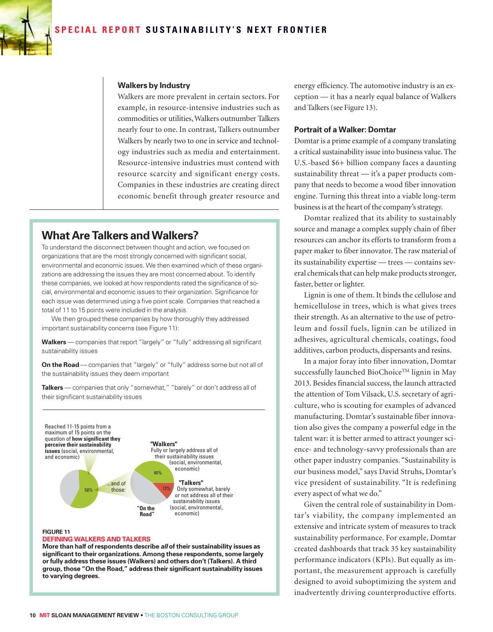

#### **Walkers by Industry**

Walkers are more prevalent in certain sectors. For example, in resource-intensive industries such as commodities or utilities, Walkers outnumber Talkers nearly four to one. In contrast, Talkers outnumber Walkers by nearly two to one in service and technology industries such as media and entertainment. Resource-intensive industries must contend with resource scarcity and significant energy costs. Companies in these industries are creating direct economic benefit through greater resource and

#### **What Are Talkers and Walkers?**

To understand the disconnect between thought and action, we focused on organizations that are the most strongly concerned with significant social, environmental and economic issues. We then examined which of these organizations are addressing the issues they are most concerned about. To identify these companies, we looked at how respondents rated the significance of social, environmental and economic issues to their organization. Significance for each issue was determined using a five point scale. Companies that reached a total of 11 to 15 points were included in the analysis.

We then grouped these companies by how thoroughly they addressed important sustainability concerns (see Figure 11):

**Walkers** — companies that report "largely" or "fully" addressing all significant sustainability issues

**On the Road** — companies that "largely" or "fully" address some but not all of the sustainability issues they deem important

**Talkers** — companies that only "somewhat," "barely" or don't address all of their significant sustainability issues



#### **Figure 11**

#### **Defining Walkers and Talkers**

**More than half of respondents describe** *all* **of their sustainability issues as significant to their organizations. Among these respondents, some largely or fully address these issues (Walkers) and others don't (Talkers). A third group, those "On the Road," address their significant sustainability issues to varying degrees.**

energy efficiency. The automotive industry is an exception — it has a nearly equal balance of Walkers and Talkers (see Figure 13).

#### **Portrait of a Walker: Domtar**

Domtar is a prime example of a company translating a critical sustainability issue into business value. The U.S.-based \$6+ billion company faces a daunting sustainability threat — it's a paper products company that needs to become a wood fiber innovation engine. Turning this threat into a viable long-term business is at the heart of the company's strategy.

Domtar realized that its ability to sustainably source and manage a complex supply chain of fiber resources can anchor its efforts to transform from a paper maker to fiber innovator. The raw material of its sustainability expertise — trees — contains several chemicals that can help make products stronger, faster, better or lighter.

Lignin is one of them. It binds the cellulose and hemicellulose in trees, which is what gives trees their strength. As an alternative to the use of petroleum and fossil fuels, lignin can be utilized in adhesives, agricultural chemicals, coatings, food additives, carbon products, dispersants and resins.

In a major foray into fiber innovation, Domtar successfully launched BioChoice™ lignin in May 2013. Besides financial success, the launch attracted the attention of Tom Vilsack, U.S. secretary of agriculture, who is scouting for examples of advanced manufacturing. Domtar's sustainable fiber innovation also gives the company a powerful edge in the talent war: it is better armed to attract younger science- and technology-savvy professionals than are other paper industry companies. "Sustainability is our business model," says David Struhs, Domtar's vice president of sustainability. "It is redefining every aspect of what we do."

Given the central role of sustainability in Domtar's viability, the company implemented an extensive and intricate system of measures to track sustainability performance. For example, Domtar created dashboards that track 35 key sustainability performance indicators (KPIs). But equally as important, the measurement approach is carefully designed to avoid suboptimizing the system and inadvertently driving counterproductive efforts.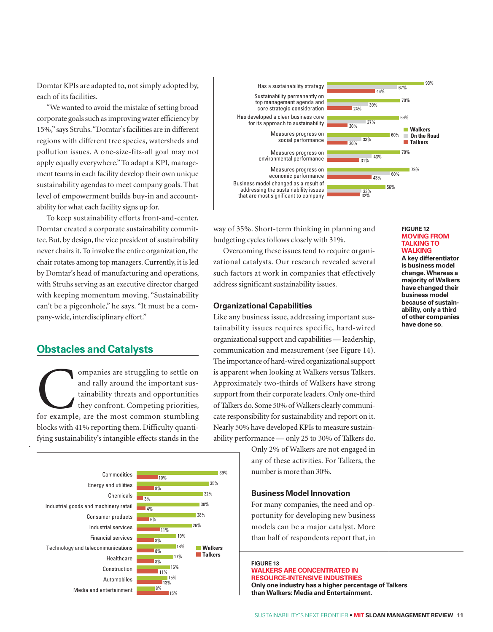Domtar KPIs are adapted to, not simply adopted by, each of its facilities.

"We wanted to avoid the mistake of setting broad corporate goals such as improving water efficiency by 15%," says Struhs. "Domtar's facilities are in different regions with different tree species, watersheds and pollution issues. A one-size-fits-all goal may not apply equally everywhere." To adapt a KPI, management teams in each facility develop their own unique sustainability agendas to meet company goals. That level of empowerment builds buy-in and accountability for what each facility signs up for.

To keep sustainability efforts front-and-center, Domtar created a corporate sustainability committee. But, by design, the vice president of sustainability never chairs it. To involve the entire organization, the chair rotates among top managers. Currently, it is led by Domtar's head of manufacturing and operations, with Struhs serving as an executive director charged with keeping momentum moving. "Sustainability can't be a pigeonhole," he says. "It must be a company-wide, interdisciplinary effort."

#### **Obstacles and Catalysts**

*13*

ompanies are struggling to settle on<br>
and rally around the important sus-<br>
tainability threats and opportunities<br>
they confront. Competing priorities,<br>
for example, are the most common stumbling and rally around the important sustainability threats and opportunities they confront. Competing priorities, blocks with 41% reporting them. Difficulty quantifying sustainability's intangible effects stands in the





way of 35%. Short-term thinking in planning and budgeting cycles follows closely with 31%.

Overcoming these issues tend to require organizational catalysts. Our research revealed several such factors at work in companies that effectively address significant sustainability issues.

#### **Organizational Capabilities**

Like any business issue, addressing important sustainability issues requires specific, hard-wired organizational support and capabilities — leadership, communication and measurement (see Figure 14). The importance of hard-wired organizational support is apparent when looking at Walkers versus Talkers. Approximately two-thirds of Walkers have strong support from their corporate leaders. Only one-third of Talkers do. Some 50% of Walkers clearly communicate responsibility for sustainability and report on it. Nearly 50% have developed KPIs to measure sustainability performance — only 25 to 30% of Talkers do.

> Only 2% of Walkers are not engaged in any of these activities. For Talkers, the number is more than 30%.

#### **Business Model Innovation**

For many companies, the need and opportunity for developing new business models can be a major catalyst. More than half of respondents report that, in

**Figure 13 Walkers are concentrated in resource-intensive industries Only one industry has a higher percentage of Talkers than Walkers: Media and Entertainment.**

#### **Figure 12 Moving from Talking to Walking**

**A key differentiator is business model change. Whereas a majority of Walkers have changed their business model because of sustainability, only a third of other companies have done so.**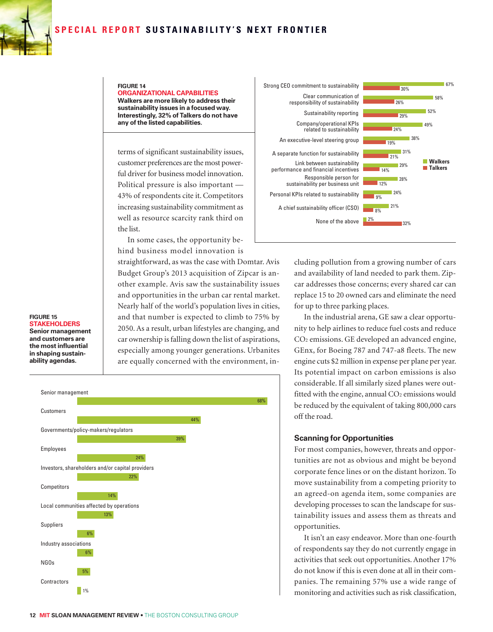#### **SPECIAL REPORT SUSTAINABILITY'S NEXT FRONTIER**



#### **Figure 14 Organizational capabilities Walkers are more likely to address their sustainability issues in a focused way. Interestingly, 32% of Talkers do not have any of the listed capabilities.**

terms of significant sustainability issues, customer preferences are the most powerful driver for business model innovation. Political pressure is also important — 43% of respondents cite it. Competitors increasing sustainability commitment as well as resource scarcity rank third on the list.

In some cases, the opportunity behind business model innovation is

straightforward, as was the case with Domtar. Avis Budget Group's 2013 acquisition of Zipcar is another example. Avis saw the sustainability issues and opportunities in the urban car rental market. Nearly half of the world's population lives in cities, and that number is expected to climb to 75% by 2050. As a result, urban lifestyles are changing, and car ownership is falling down the list of aspirations, especially among younger generations. Urbanites are equally concerned with the environment, in-







cluding pollution from a growing number of cars and availability of land needed to park them. Zipcar addresses those concerns; every shared car can replace 15 to 20 owned cars and eliminate the need for up to three parking places.

In the industrial arena, GE saw a clear opportunity to help airlines to reduce fuel costs and reduce CO2 emissions. GE developed an advanced engine, GEnx, for Boeing 787 and 747-a8 fleets. The new engine cuts \$2 million in expense per plane per year. Its potential impact on carbon emissions is also considerable. If all similarly sized planes were outfitted with the engine, annual  $CO<sub>2</sub>$  emissions would be reduced by the equivalent of taking 800,000 cars off the road.

#### **Scanning for Opportunities**

For most companies, however, threats and opportunities are not as obvious and might be beyond corporate fence lines or on the distant horizon. To move sustainability from a competing priority to an agreed-on agenda item, some companies are developing processes to scan the landscape for sustainability issues and assess them as threats and opportunities.

It isn't an easy endeavor. More than one-fourth of respondents say they do not currently engage in activities that seek out opportunities. Another 17% do not know if this is even done at all in their companies. The remaining 57% use a wide range of monitoring and activities such as risk classification,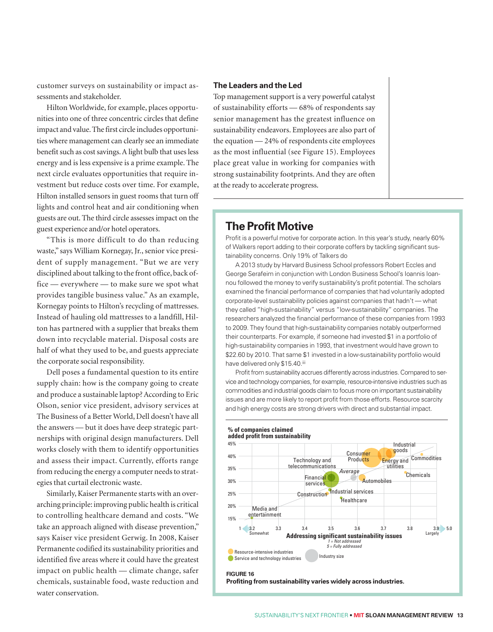customer surveys on sustainability or impact assessments and stakeholder.

Hilton Worldwide, for example, places opportunities into one of three concentric circles that define impact and value. The first circle includes opportunities where management can clearly see an immediate benefit such as cost savings. A light bulb that uses less energy and is less expensive is a prime example. The next circle evaluates opportunities that require investment but reduce costs over time. For example, Hilton installed sensors in guest rooms that turn off lights and control heat and air conditioning when guests are out. The third circle assesses impact on the guest experience and/or hotel operators.

"This is more difficult to do than reducing waste," says William Kornegay, Jr., senior vice president of supply management. "But we are very disciplined about talking to the front office, back office — everywhere — to make sure we spot what provides tangible business value." As an example, Kornegay points to Hilton's recycling of mattresses. Instead of hauling old mattresses to a landfill, Hilton has partnered with a supplier that breaks them down into recyclable material. Disposal costs are half of what they used to be, and guests appreciate the corporate social responsibility.

Dell poses a fundamental question to its entire supply chain: how is the company going to create and produce a sustainable laptop? According to Eric Olson, senior vice president, advisory services at The Business of a Better World, Dell doesn't have all the answers — but it does have deep strategic partnerships with original design manufacturers. Dell works closely with them to identify opportunities and assess their impact. Currently, efforts range from reducing the energy a computer needs to strategies that curtail electronic waste.

Similarly, Kaiser Permanente starts with an overarching principle: improving public health is critical to controlling healthcare demand and costs. "We take an approach aligned with disease prevention," says Kaiser vice president Gerwig. In 2008, Kaiser Permanente codified its sustainability priorities and identified five areas where it could have the greatest impact on public health — climate change, safer chemicals, sustainable food, waste reduction and water conservation.

#### **The Leaders and the Led**

Top management support is a very powerful catalyst of sustainability efforts — 68% of respondents say senior management has the greatest influence on sustainability endeavors. Employees are also part of the equation — 24% of respondents cite employees as the most influential (see Figure 15). Employees place great value in working for companies with strong sustainability footprints. And they are often at the ready to accelerate progress.

#### **The Profit Motive**

Profit is a powerful motive for corporate action. In this year's study, nearly 60% of Walkers report adding to their corporate coffers by tackling significant sustainability concerns. Only 19% of Talkers do

A 2013 study by Harvard Business School professors Robert Eccles and George Serafeim in conjunction with London Business School's Ioannis Ioannou followed the money to verify sustainability's profit potential. The scholars examined the financial performance of companies that had voluntarily adopted corporate-level sustainability policies against companies that hadn't — what they called "high-sustainability" versus "low-sustainability" companies. The researchers analyzed the financial performance of these companies from 1993 to 2009. They found that high-sustainability companies notably outperformed their counterparts. For example, if someone had invested \$1 in a portfolio of high-sustainability companies in 1993, that investment would have grown to \$22.60 by 2010. That same \$1 invested in a low-sustainability portfolio would have delivered only \$15.40.iii

Profit from sustainability accrues differently across industries. Compared to service and technology companies, for example, resource-intensive industries such as commodities and industrial goods claim to focus more on important sustainability issues and are more likely to report profit from those efforts. Resource scarcity and high energy costs are strong drivers with direct and substantial impact. *16b*

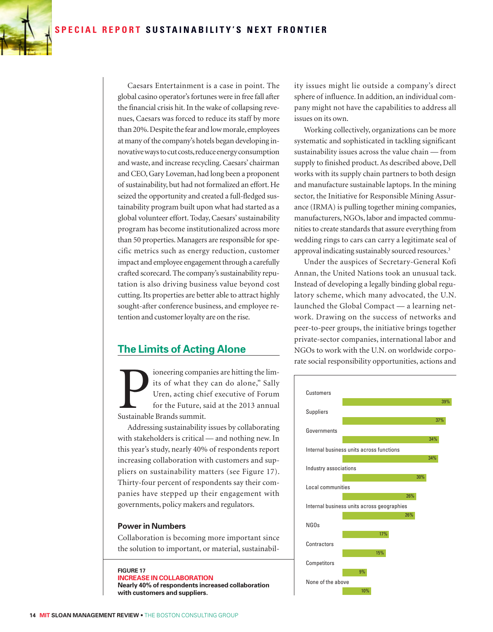

Caesars Entertainment is a case in point. The global casino operator's fortunes were in free fall after the financial crisis hit. In the wake of collapsing revenues, Caesars was forced to reduce its staff by more than 20%. Despite the fear and low morale, employees at many of the company's hotels began developing innovative ways to cut costs, reduce energy consumption and waste, and increase recycling. Caesars' chairman and CEO, Gary Loveman, had long been a proponent of sustainability, but had not formalized an effort. He seized the opportunity and created a full-fledged sustainability program built upon what had started as a global volunteer effort. Today, Caesars' sustainability program has become institutionalized across more than 50 properties. Managers are responsible for specific metrics such as energy reduction, customer impact and employee engagement through a carefully crafted scorecard. The company's sustainability reputation is also driving business value beyond cost cutting. Its properties are better able to attract highly sought-after conference business, and employee retention and customer loyalty are on the rise.

#### **The Limits of Acting Alone**

ioneering companies are hitting the limits of what they can do alone," Sally Uren, acting chief executive of Forum for the Future, said at the 2013 annual Sustainable Brands summit.

Addressing sustainability issues by collaborating with stakeholders is critical — and nothing new. In this year's study, nearly 40% of respondents report increasing collaboration with customers and suppliers on sustainability matters (see Figure 17). Thirty-four percent of respondents say their companies have stepped up their engagement with governments, policy makers and regulators.

#### **Power in Numbers**

Collaboration is becoming more important since the solution to important, or material, sustainabil-

**Figure 17 Increase in collaboration Nearly 40% of respondents increased collaboration with customers and suppliers.**

ity issues might lie outside a company's direct sphere of influence. In addition, an individual company might not have the capabilities to address all issues on its own.

Working collectively, organizations can be more systematic and sophisticated in tackling significant sustainability issues across the value chain — from supply to finished product. As described above, Dell works with its supply chain partners to both design and manufacture sustainable laptops. In the mining sector, the Initiative for Responsible Mining Assurance (IRMA) is pulling together mining companies, manufacturers, NGOs, labor and impacted communities to create standards that assure everything from wedding rings to cars can carry a legitimate seal of approval indicating sustainably sourced resources.<sup>3</sup>

Under the auspices of Secretary-General Kofi Annan, the United Nations took an unusual tack. Instead of developing a legally binding global regulatory scheme, which many advocated, the U.N. launched the Global Compact — a learning network. Drawing on the success of networks and peer-to-peer groups, the initiative brings together private-sector companies, international labor and NGOs to work with the U.N. on worldwide corporate social responsibility opportunities, actions and

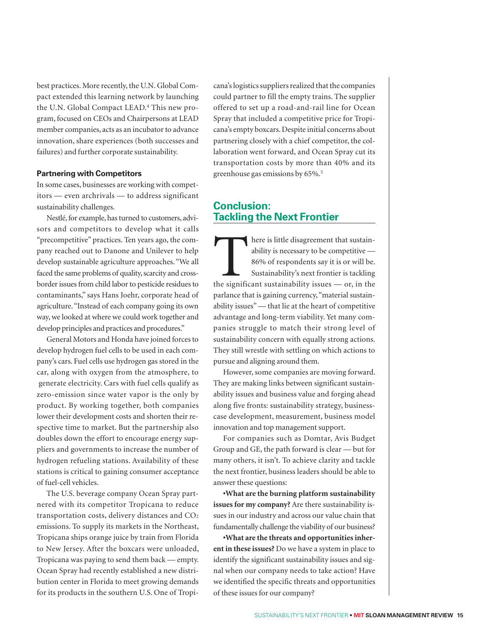best practices. More recently, the U.N. Global Compact extended this learning network by launching the U.N. Global Compact LEAD.4 This new program, focused on CEOs and Chairpersons at LEAD member companies, acts as an incubator to advance innovation, share experiences (both successes and failures) and further corporate sustainability.

#### **Partnering with Competitors**

In some cases, businesses are working with competitors — even archrivals — to address significant sustainability challenges.

Nestlé, for example, has turned to customers, advisors and competitors to develop what it calls "precompetitive" practices. Ten years ago, the company reached out to Danone and Unilever to help develop sustainable agriculture approaches. "We all faced the same problems of quality, scarcity and crossborder issues from child labor to pesticide residues to contaminants," says Hans Joehr, corporate head of agriculture. "Instead of each company going its own way, we looked at where we could work together and develop principles and practices and procedures."

General Motors and Honda have joined forces to develop hydrogen fuel cells to be used in each company's cars. Fuel cells use hydrogen gas stored in the car, along with oxygen from the atmosphere, to generate electricity. Cars with fuel cells qualify as zero-emission since water vapor is the only by product. By working together, both companies lower their development costs and shorten their respective time to market. But the partnership also doubles down the effort to encourage energy suppliers and governments to increase the number of hydrogen refueling stations. Availability of these stations is critical to gaining consumer acceptance of fuel-cell vehicles.

The U.S. beverage company Ocean Spray partnered with its competitor Tropicana to reduce transportation costs, delivery distances and CO2 emissions. To supply its markets in the Northeast, Tropicana ships orange juice by train from Florida to New Jersey. After the boxcars were unloaded, Tropicana was paying to send them back — empty. Ocean Spray had recently established a new distribution center in Florida to meet growing demands for its products in the southern U.S. One of Tropicana's logistics suppliers realized that the companies could partner to fill the empty trains. The supplier offered to set up a road-and-rail line for Ocean Spray that included a competitive price for Tropicana's empty boxcars. Despite initial concerns about partnering closely with a chief competitor, the collaboration went forward, and Ocean Spray cut its transportation costs by more than 40% and its greenhouse gas emissions by 65%.5

#### **Conclusion: Tackling the Next Frontier**

here is little disagreement that sustainability is necessary to be competitive — 86% of respondents say it is or will be.<br>Sustainability's next frontier is tackling the significant sustainability issues — or, in the ability is necessary to be competitive — 86% of respondents say it is or will be. Sustainability's next frontier is tackling parlance that is gaining currency, "material sustainability issues" — that lie at the heart of competitive advantage and long-term viability. Yet many companies struggle to match their strong level of sustainability concern with equally strong actions. They still wrestle with settling on which actions to pursue and aligning around them.

However, some companies are moving forward. They are making links between significant sustainability issues and business value and forging ahead along five fronts: sustainability strategy, businesscase development, measurement, business model innovation and top management support.

For companies such as Domtar, Avis Budget Group and GE, the path forward is clear — but for many others, it isn't. To achieve clarity and tackle the next frontier, business leaders should be able to answer these questions:

**•What are the burning platform sustainability issues for my company?** Are there sustainability issues in our industry and across our value chain that fundamentally challenge the viability of our business?

**•What are the threats and opportunities inherent in these issues?** Do we have a system in place to identify the significant sustainability issues and signal when our company needs to take action? Have we identified the specific threats and opportunities of these issues for our company?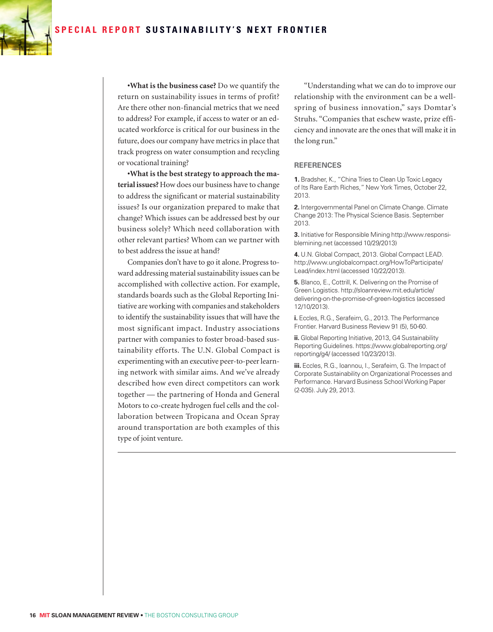

**•What is the business case?** Do we quantify the return on sustainability issues in terms of profit? Are there other non-financial metrics that we need to address? For example, if access to water or an educated workforce is critical for our business in the future, does our company have metrics in place that track progress on water consumption and recycling or vocational training?

**•What is the best strategy to approach the material issues?** How does our business have to change to address the significant or material sustainability issues? Is our organization prepared to make that change? Which issues can be addressed best by our business solely? Which need collaboration with other relevant parties? Whom can we partner with to best address the issue at hand?

Companies don't have to go it alone. Progress toward addressing material sustainability issues can be accomplished with collective action. For example, standards boards such as the Global Reporting Initiative are working with companies and stakeholders to identify the sustainability issues that will have the most significant impact. Industry associations partner with companies to foster broad-based sustainability efforts. The U.N. Global Compact is experimenting with an executive peer-to-peer learning network with similar aims. And we've already described how even direct competitors can work together — the partnering of Honda and General Motors to co-create hydrogen fuel cells and the collaboration between Tropicana and Ocean Spray around transportation are both examples of this type of joint venture.

"Understanding what we can do to improve our relationship with the environment can be a wellspring of business innovation," says Domtar's Struhs. "Companies that eschew waste, prize efficiency and innovate are the ones that will make it in the long run."

#### **References**

**1.** Bradsher, K., "China Tries to Clean Up Toxic Legacy of Its Rare Earth Riches," New York Times, October 22, 2013.

**2.** Intergovernmental Panel on Climate Change. Climate Change 2013: The Physical Science Basis. September 2013.

**3.** Initiative for Responsible Mining http://www.responsiblemining.net (accessed 10/29/2013)

**4.** U.N. Global Compact, 2013. Global Compact LEAD. http://www.unglobalcompact.org/HowToParticipate/ Lead/index.html (accessed 10/22/2013).

**5.** Blanco, E., Cottrill, K. Delivering on the Promise of Green Logistics. http://sloanreview.mit.edu/article/ delivering-on-the-promise-of-green-logistics (accessed 12/10/2013).

**i.** Eccles, R.G., Serafeim, G., 2013. The Performance Frontier. Harvard Business Review 91 (5), 50-60.

**ii.** Global Reporting Initiative, 2013, G4 Sustainability Reporting Guidelines. https://www.globalreporting.org/ reporting/g4/ (accessed 10/23/2013).

**iii.** Eccles, R.G., Ioannou, I., Serafeim, G. The Impact of Corporate Sustainability on Organizational Processes and Performance. Harvard Business School Working Paper (2-035). July 29, 2013.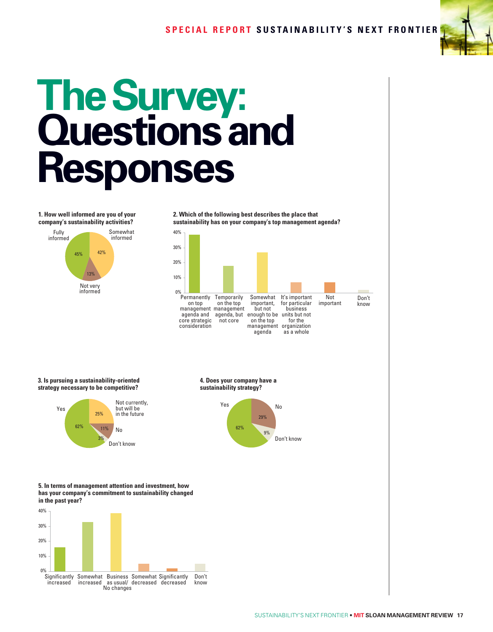

# **The Survey: Questions and Responses**

**1. How well informed are you of your company's sustainability activities?** Fully informed Somewhat informed Not very informed 45% 42% 13% **2. Which of the following best describes the place that sustainability has on your company's top management agenda?**  40% 30% 20% 10% 0% Don't know **Permanently** on top management management agenda and agenda, but core strategic consideration **Temporarily** on the top not core Somewhat important, but not enough to be on the top management agenda It's important for particular business units but not for the organization as a whole Not important **3. Is pursuing a sustainability-oriented strategy necessary to be competitive?** Yes Not currently, but will be in the future No Don't know 62% 25%  $11%$ 3% **4. Does your company have a sustainability strategy?** Yes No Don't know 62% 29% 9% **5. In terms of management attention and investment, how has your company's commitment to sustainability changed in the past year?** 40% 30% 20% 10%  $0%$ Don't know Significantly increased Somewhat Business Somewhat Significantly increased as usual/ decreased decreasedNo changes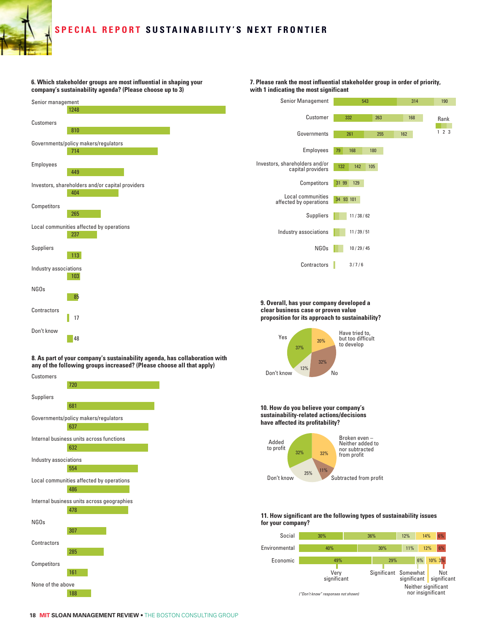### **Special Repo r t SUS TAI N A B ILIT Y'S N E X T FR O N TIE R**

**6. Which stakeholder groups are most influential in shaping your company's sustainability agenda? (Please choose up to 3)**



**8. As part of your company's sustainability agenda, has collaboration with any of the following groups increased? (Please choose all that apply)**



**7. Please rank the most influential stakeholder group in order of priority, with 1 indicating the most significant**





**18 MIT SLOAN MANAGEMENT REVIEW** • THE BOSTON CONSULTING GROUP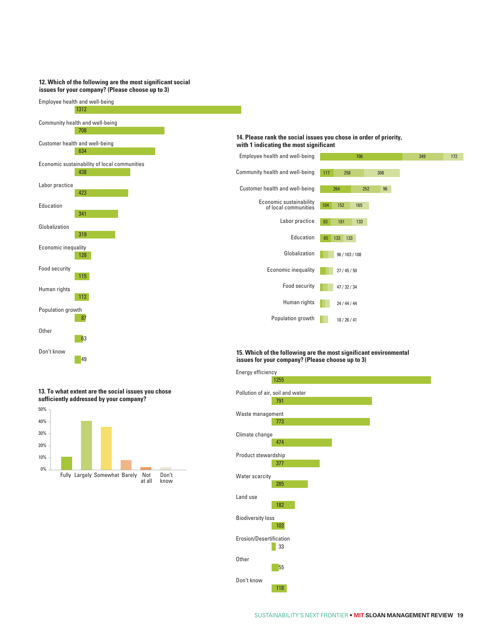#### **12. Which of the following are the most significant social issues for your company? (Please choose up to 3)**



**13. To what extent are the social issues you chose sufficiently addressed by your company?** 50%



## Energy efficiency

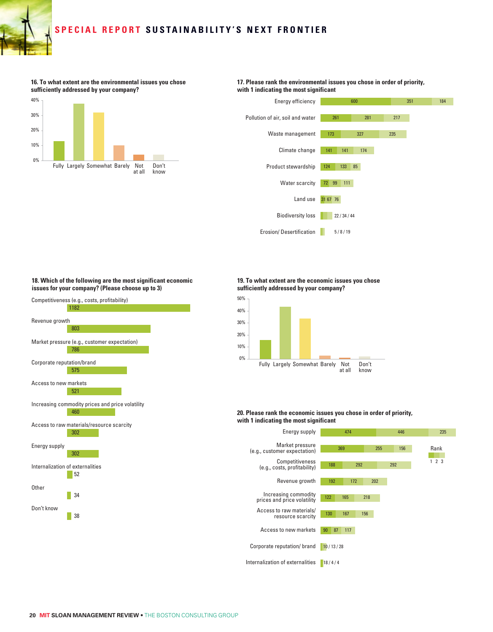## **Special Repo r t SUS TAI N A B ILIT Y'S N E X T FR O N TIE R**

**16. To what extent are the environmental issues you chose sufficiently addressed by your company?**



**17. Please rank the environmental issues you chose in order of priority, with 1 indicating the most significant**



#### **18. Which of the following are the most significant economic issues for your company? (Please choose up to 3)**



#### **19. To what extent are the economic issues you chose sufficiently addressed by your company?**



#### **20. Please rank the economic issues you chose in order of priority, with 1 indicating the most significant**

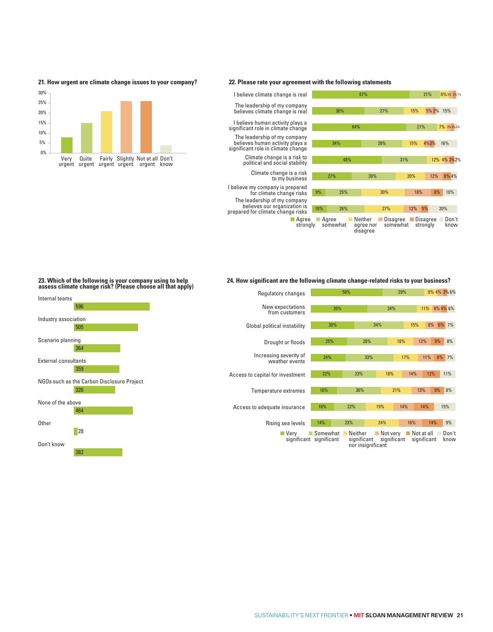



#### **22. Please rate your agreement with the following statements**



#### **23. Which of the following is your company using to help assess climate change risk? (Please choose all that apply)**



#### **24. How significant are the following climate change-related risks to your business?**

| Regulatory changes                       | 50%                                 |     |                          |                   |                         | 29% |            |                           |     | 9% 4% 3% 6%   |
|------------------------------------------|-------------------------------------|-----|--------------------------|-------------------|-------------------------|-----|------------|---------------------------|-----|---------------|
| New expectations<br>from customers       |                                     | 39% |                          |                   | 34%                     |     |            | 11%                       |     | 6% 4% 6%      |
| Global political instability             | 30%                                 |     |                          | 34%               |                         | 15% |            | 8%                        | 6%  | 7%            |
| Drought or floods                        | 25%                                 |     | 28%                      |                   |                         | 18% |            | 12%                       | 9%  | 8%            |
|                                          |                                     |     |                          |                   |                         |     |            |                           |     |               |
| Increasing severity of<br>weather events | 24%                                 |     | 33%                      |                   |                         |     | 17%        |                           | 8%  | 7%            |
| Access to capital for investment         | 22%                                 |     | 23%                      | 18%               |                         |     | 14%        |                           | 12% | 11%           |
| Temperature extremes                     | 18%                                 |     | 30%                      |                   |                         | 21% |            | 13%                       | 9%  | 8%            |
| Access to adequate insurance             | 16%                                 | 22% |                          |                   | 19%                     |     | 14%<br>14% |                           | 15% |               |
| Rising sea levels                        | 14%                                 | 23% |                          |                   | 24%                     |     | 16%        |                           | 14% | 9%            |
| Verv                                     | Somewhat<br>significant significant |     | ■ Neither<br>significant | nor insignificant | Not very<br>significant |     |            | Not at all<br>significant |     | Don't<br>know |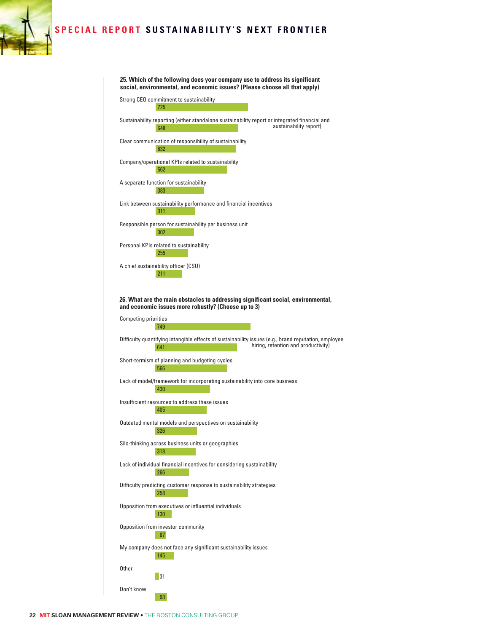#### **SPECIAL REPORT SUSTAINABILITY'S NEXT FRONTIER**

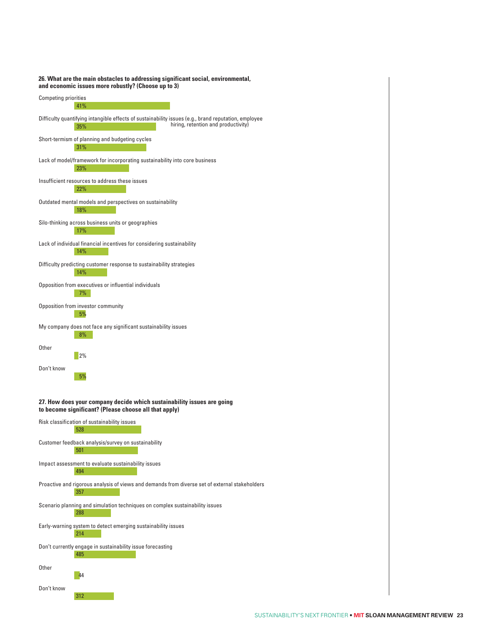

312

Don't know

## **26. What are the main obstacles to addressing significant social, environmental,**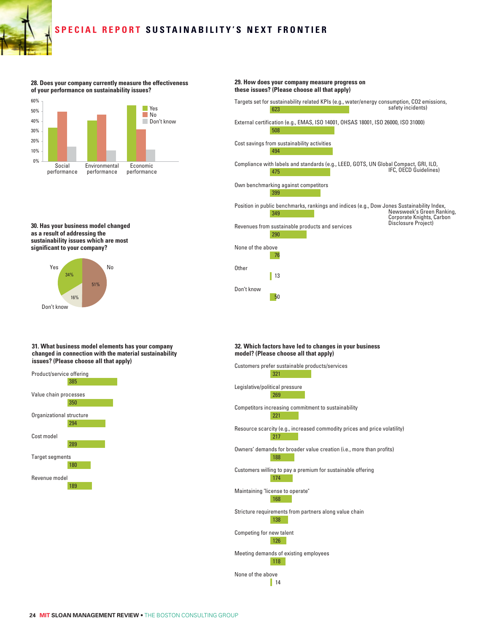#### **Special Repo r t SUS TAI N A B ILIT Y'S N E X T FR O N TIE R**

**28. Does your company currently measure the effectiveness of your performance on sustainability issues?**



**30. Has your business model changed as a result of addressing the sustainability issues which are most significant to your company?**



#### **31. What business model elements has your company changed in connection with the material sustainability issues? (Please choose all that apply)**



#### 623 508 494 475 399 349 290 76  $\parallel$  13 **29. How does your company measure progress on these issues? (Please choose all that apply)** Targets set for sustainability related KPIs (e.g., water/energy consumption, CO2 emissions,<br>safety incidents) External certification (e.g., EMAS, ISO 14001, OHSAS 18001, ISO 26000, ISO 31000) Cost savings from sustainability activities Compliance with labels and standards (e.g., LEED, GOTS, UN Global Compact, GRI, ILO, IFC, OECD Guidelines) Own benchmarking against competitors Position in public benchmarks, rankings and indices (e.g., Dow Jones Sustainability Index, Newsweek's Green Ranking, Corporate Knights, Carbon Revenues from sustainable products and services None of the above **Other** Disclosure Project)

#### **32. Which factors have led to changes in your business model? (Please choose all that apply)**

50

Don't know

| Customers prefer sustainable products/services                            |
|---------------------------------------------------------------------------|
| 321                                                                       |
| Legislative/political pressure                                            |
| 269                                                                       |
| Competitors increasing commitment to sustainability                       |
| 221                                                                       |
| Resource scarcity (e.g., increased commodity prices and price volatility) |
| 217                                                                       |
| Owners' demands for broader value creation (i.e., more than profits)      |
| 188                                                                       |
| Customers willing to pay a premium for sustainable offering<br>174        |
|                                                                           |
| Maintaining "license to operate"<br>168                                   |
|                                                                           |
| Stricture requirements from partners along value chain<br>138             |
|                                                                           |
| Competing for new talent<br>126                                           |
| Meeting demands of existing employees                                     |
| 118                                                                       |
| None of the above                                                         |
| 14                                                                        |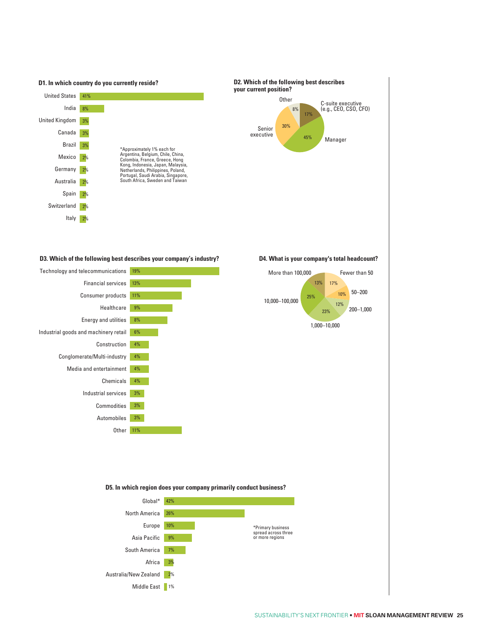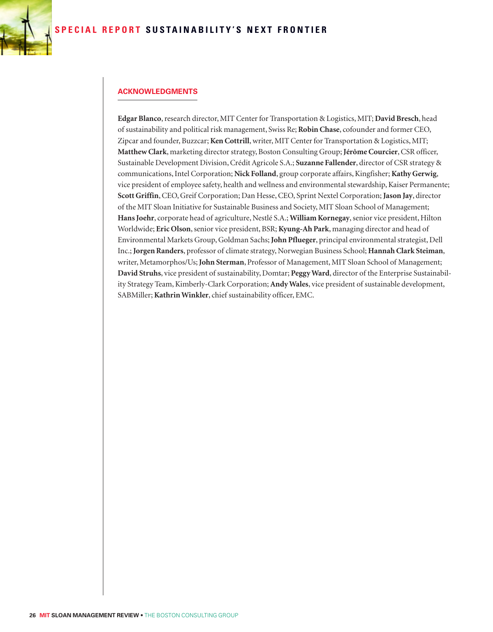

#### **Acknowledgments**

**Edgar Blanco**, research director, MIT Center for Transportation & Logistics, MIT; **David Bresch**, head of sustainability and political risk management, Swiss Re; **Robin Chase**, cofounder and former CEO, Zipcar and founder, Buzzcar; **Ken Cottrill**, writer, MIT Center for Transportation & Logistics, MIT; **Matthew Clark**, marketing director strategy, Boston Consulting Group; **Jérôme Courcier**, CSR officer, Sustainable Development Division, Crédit Agricole S.A.; **Suzanne Fallender**, director of CSR strategy & communications, Intel Corporation; **Nick Folland**, group corporate affairs, Kingfisher; **Kathy Gerwig**, vice president of employee safety, health and wellness and environmental stewardship, Kaiser Permanente; **Scott Griffin**, CEO, Greif Corporation; Dan Hesse, CEO, Sprint Nextel Corporation; **Jason Jay**, director of the MIT Sloan Initiative for Sustainable Business and Society, MIT Sloan School of Management; **Hans Joehr**, corporate head of agriculture, Nestlé S.A.; **William Kornegay**, senior vice president, Hilton Worldwide; **Eric Olson**, senior vice president, BSR; **Kyung-Ah Park**, managing director and head of Environmental Markets Group, Goldman Sachs; **John Pflueger**, principal environmental strategist, Dell Inc.; **Jorgen Randers**, professor of climate strategy, Norwegian Business School; **Hannah Clark Steiman**, writer, Metamorphos/Us; **John Sterman**, Professor of Management, MIT Sloan School of Management; **David Struhs**, vice president of sustainability, Domtar; **Peggy Ward**, director of the Enterprise Sustainability Strategy Team, Kimberly-Clark Corporation; **Andy Wales**, vice president of sustainable development, SABMiller; **Kathrin Winkler**, chief sustainability officer, EMC.